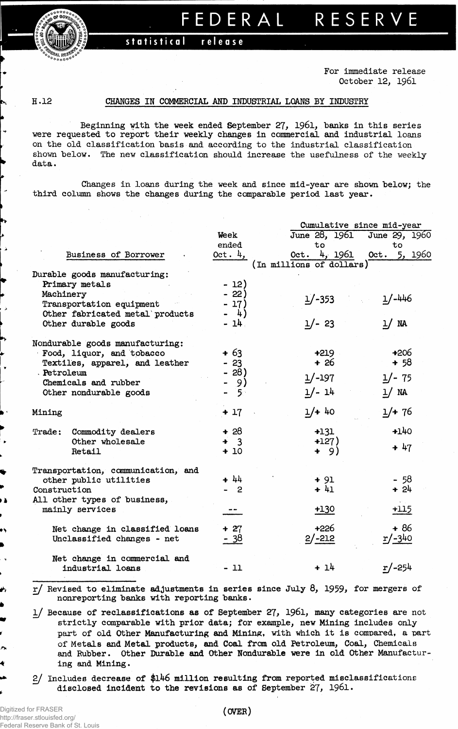## **statistical release**

**For immediate release October 12, 1961**

 $\rightarrow$ 

١À

∽

## **H.12 CHANGES IN COMMERCIAL AND INDUSTRIAL LOANS BY INDUSTRY**

**Beginning with the week ended September 27, 1961, banks in this series were requested to report their weekly changes in commercial and industrial loans on the old classification basis and according to the industrial classification shown below. The new classification should increase the usefulness of the weekly data.** 

**Changes in loans during the week and since mid-year are shown below; the third column shows the changes during the comparable period last year.**

|                                    |             | Cumulative since mid-year |                             |  |  |  |  |
|------------------------------------|-------------|---------------------------|-----------------------------|--|--|--|--|
|                                    | Week        |                           | June 28, 1961 June 29, 1960 |  |  |  |  |
|                                    | ended       | to                        | to                          |  |  |  |  |
| Business of Borrower               | Oct. $4,$   | 4, 1961<br>Oct.           | 5, 1960<br>Oct.             |  |  |  |  |
|                                    |             | (In millions of dollars)  |                             |  |  |  |  |
| Durable goods manufacturing:       |             |                           |                             |  |  |  |  |
| Primary metals                     | $-12)$      |                           |                             |  |  |  |  |
| Machinery                          | $-22)$      |                           |                             |  |  |  |  |
| Transportation equipment           | - 17)       | $1/-353$                  | $1/-446$                    |  |  |  |  |
| Other fabricated metal products    | - 4)        |                           |                             |  |  |  |  |
| Other durable goods                | - 14.       | $1/- 23$                  | $1/$ NA                     |  |  |  |  |
|                                    |             |                           |                             |  |  |  |  |
| Nondurable goods manufacturing:    |             |                           |                             |  |  |  |  |
| Food, liquor, and tobacco          | $+63$       | $+219$                    | $+206$                      |  |  |  |  |
| Textiles, apparel, and leather     | $-23$       | $+26$                     | $+ 58$                      |  |  |  |  |
| . Petroleum                        | - 28)       |                           |                             |  |  |  |  |
| Chemicals and rubber               | - 9)        | $1/-197$                  | $1/- 75$                    |  |  |  |  |
| Other nondurable goods             | ్ర <i>ా</i> | $1/- 14$                  | 1/ NA                       |  |  |  |  |
|                                    |             |                           |                             |  |  |  |  |
| Mining                             | $+17$       | $1/+ 40$                  | $1/+76$                     |  |  |  |  |
|                                    |             |                           |                             |  |  |  |  |
| Commodity dealers<br>Trace:        | $+28$       | $+131$                    | $+140$                      |  |  |  |  |
| Other wholesale                    | $+ 3$       | $+127)$                   |                             |  |  |  |  |
| Retail                             | $+10$       | + 9)                      | $+ 47$                      |  |  |  |  |
|                                    |             |                           |                             |  |  |  |  |
| Transportation, communication, and |             |                           |                             |  |  |  |  |
| other public utilities             | $+ 44$      | $+91$                     | $-58$                       |  |  |  |  |
| Construction                       | $-2$        | $+41$                     | $+24$                       |  |  |  |  |
| All other types of business,       |             |                           |                             |  |  |  |  |
| mainly services                    |             | $+130$                    | $+115$                      |  |  |  |  |
|                                    |             |                           |                             |  |  |  |  |
| Net change in classified loans     | $+ 27$      | $+226$                    | $+86$                       |  |  |  |  |
| Unclassified changes - net         | - 38        | $2/-212$                  | $r/-340$                    |  |  |  |  |
|                                    |             |                           |                             |  |  |  |  |
| Net change in commercial and       |             |                           |                             |  |  |  |  |
| industrial loans                   | $-11$       | $+14$                     | $r/-254$                    |  |  |  |  |
|                                    |             |                           |                             |  |  |  |  |
|                                    |             |                           |                             |  |  |  |  |

**r/ Revised to eliminate adjustments in series since July 8, 1959, for mergers of nonreporting banks with reporting banks.**

**l/ Because of reclassifications as of September 27, 1961, many categories are not strictly comparable with prior data; for example, new Mining includes only part of old Other Manufacturing and Mining, with which it is compared, a part of Metals and Metal products, and Coal from old Petroleum, Coal, Chemicals and Rubber. Other Durable and Other Nondurable were in old Other Manufacturing and Mining.**

**2/ Includes decrease of \$l46 million resulting from reported misclassificatione disclosed Incident to the revisions as of September 27, 1961.**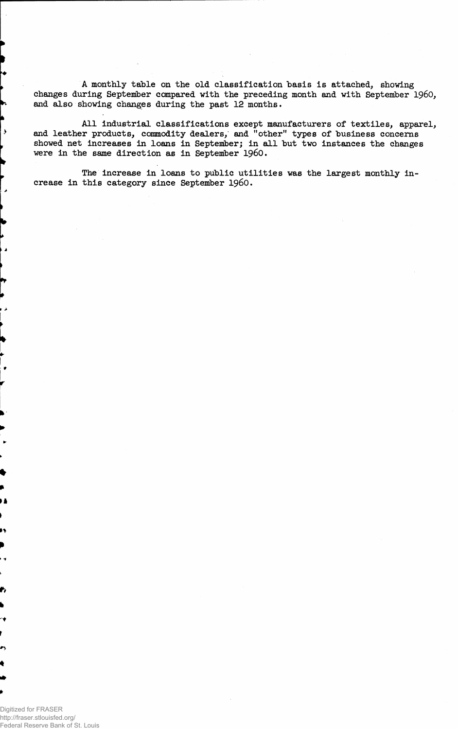**A monthly table on the old classification basis is attached, showing changes during September compared with the preceding month and with September i960, and also showing changes during the past 12 months.**

**All industrial classifications except manufacturers of textiles, apparel, and leather products, commodity dealers, and "other" types of "business concerns showed net increases in loans in September; in all but two instances the changes were in the same direction as in September i960.**

**The increase in loans to public utilities was the largest monthly increase in this category since September i960.**

Digitized for FRASER http://fraser.stlouisfed.org/ Federal Reserve Bank of St. Louis

 $\overline{\mathbf{y}}$ 

د.

 $\overline{\phantom{a}}$ 

ì.

ø,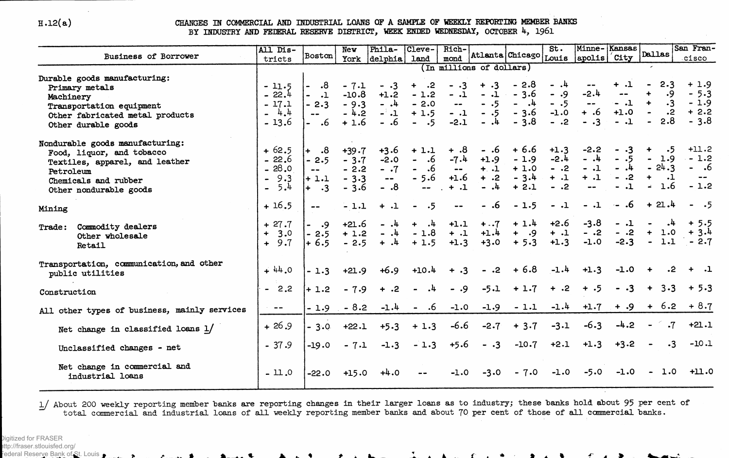$H.12(a)$ 

CHANGES IN COMMERCIAL AND INDUSTRIAL LOANS OF A SAMPLE OF WEEKLY REPORTING MEMBER BANKS BY INDUSTRY AND FEDERAL RESERVE DISTRICT, WEEK ENDED WEDNESDAY, OCTOBER 4, 1961

|                                                                                                                                                               | All Dis-                                                             |                                                       | New                                             | Phila-                                                                   | Cleve-                                                        | Rich-                                                                |                                                                          |                                                 | St.                                          | Minne-Kansas                                               |                                                                  | <b>Dallas</b>                                                             | San Fran-                                      |
|---------------------------------------------------------------------------------------------------------------------------------------------------------------|----------------------------------------------------------------------|-------------------------------------------------------|-------------------------------------------------|--------------------------------------------------------------------------|---------------------------------------------------------------|----------------------------------------------------------------------|--------------------------------------------------------------------------|-------------------------------------------------|----------------------------------------------|------------------------------------------------------------|------------------------------------------------------------------|---------------------------------------------------------------------------|------------------------------------------------|
| <b>Business of Borrower</b>                                                                                                                                   | tricts                                                               | Boston                                                |                                                 | York delphia                                                             | land                                                          | mond                                                                 |                                                                          |                                                 |                                              | Atlanta Chicago Louis apolis                               | $\overline{\phantom{a}}$ City                                    |                                                                           | cisco                                          |
| Durable goods manufacturing:<br>Primary metals<br>Machinery<br>Transportation equipment<br>Other fabricated metal products<br>Other durable goods             | $-11.5$<br>22.4<br>$\sim$<br>$-17.1$<br>4.4<br>$-13.6$               | .8<br>$\mathbf{-1}$<br>$-2.3$<br>- .6                 | $-7.1$<br>$-10.8$<br>$-9.3$<br>$-4.2$<br>$+1.6$ | $- 0.3$<br>$+1.2$<br>$-1$<br>$-1$<br>$-.6$                               | $+$ .2<br>$-1.2$<br>$-2.0$<br>$+1.5$<br>$- 0.5$               | $- .3$<br>$-.1$<br>$\bullet\bullet$<br>$-.1$<br>$-2.1$               | (In millions of dollars)<br>$+ .3$<br>$-.1$<br>$-.5$<br>$-.5$<br>$-$ , 4 | $-2.8$<br>$-3.6$<br>$ -$<br>$-3.6$<br>$-3.8$    | $-.4$<br>$- 0.9$<br>$-.5$<br>$-1.0$<br>$-.2$ | $-2.4$<br>$\blacksquare$ $\blacksquare$<br>$+.6$<br>$- .3$ | $+ 1$<br>$\rightarrow$ $\rightarrow$<br>$-.1$<br>$+1.0$<br>$-.1$ | 2.3<br>.9<br>$\ddotmark$<br>$\cdot$ <sup>2</sup><br>2.8<br>$\blacksquare$ | $+1.9$<br>$-5.3$<br>$-1.9$<br>$+2.2$<br>$-3.8$ |
| Nondurable goods manufacturing:<br>Food, liquor, and tobacco<br>Textiles, apparel, and leather<br>Petroleum<br>Chemicals and rubber<br>Other nondurable goods | $+62.5$<br>$-22.6$<br>28.0<br>$\sim$<br>9.3<br>5.4<br>$\blacksquare$ | $\cdot$ 8<br>$+$<br>$-2.5$<br>$+1.1$<br>$+$ $\cdot$ 3 | $+39.7$<br>$-3.7$<br>$-2.2$<br>$-3.3$<br>$-3.6$ | $+3.6$<br>$-2.0$<br>$-.7$<br>$\qquad \qquad \bullet \, \bullet$<br>$-.8$ | $+1.1$<br>$-.6$<br>- .6<br>$-5.6$<br>$\overline{\phantom{a}}$ | $\ddotsc$<br>$-7.4$<br>$\overline{\phantom{a}}$ .<br>$+1.6$<br>$+ 1$ | - .6<br>$+1.9$<br>$+ .1$<br>$+ .2$<br>$-$ .4                             | $+6.6$<br>$-1.9$<br>$+1.0$<br>$-3.4$<br>$+ 2.1$ | $+1.3$<br>$-2.4$<br>$-.2$<br>$+ .1$<br>$-.2$ | $-2.2$<br>$-$ .4<br>$-.1$<br>$+ 1$<br>$\frac{1}{2}$        | $\cdot$ 3<br>$-.5$<br>$-$ ,4<br>$-.2$<br>$-1$                    | $\ddotmark$<br>$-5$<br>$-1.9$<br>$-24.3$<br>1.6                           | $+11.2$<br>$-1.2$<br>$- 0.6$<br>$-1.2$         |
| Mining                                                                                                                                                        | $+16.5$                                                              | $\frac{1}{2}$                                         | $-1.1$                                          | $+ 1$                                                                    | $- 0.5$                                                       | $\frac{1}{2}$                                                        | - .6                                                                     | $-1.5$                                          | $-.1$                                        | $-.1$                                                      | $-16$                                                            | $+21.4$                                                                   | $- 0.5$                                        |
| Trade: Commodity dealers<br>Other wholesale<br>Retail                                                                                                         | $+27.7$<br>3.0<br>$+$<br>$+9.7$                                      | $- 0.9$<br>$-2.5$<br>$+ 6.5$                          | $+21.6$<br>$+1.2$<br>$-2.5$                     | $-.4$<br>$-$ , 4<br>$+$ .4                                               | $+$ .4<br>$-1.8$<br>$+1.5$                                    | $+1.1$<br>$+ 1$<br>$+1.3$                                            | $+7$<br>$+1.4$<br>$+3.0$                                                 | $+1.4$<br>$+ 0.9$<br>$+5.3$                     | $+2.6$<br>$+ 1$<br>$+1.3$                    | $-3.8$<br>$-.2$<br>$-1.0$                                  | $-.1$<br>$-.2$<br>$-2.3$                                         | 1.0<br>$+$                                                                | $+ 5.5$<br>$+3.4$<br>$-1.1 - 2.7$              |
| Transportation, communication, and other<br>public utilities                                                                                                  | $+ 44.0$                                                             | $-1.3$                                                | $+21.9$                                         | $+6.9$                                                                   | $+10.4$                                                       | $+ .3$                                                               | $-.2$                                                                    | $+6.8$                                          | $-1.4$                                       | $+1.3$                                                     | $-1.0$                                                           | $\cdot$ 2                                                                 |                                                |
| Construction                                                                                                                                                  | $-2.2$                                                               | $+ 1.2$                                               | $-7.9$                                          | $\ddot{ }$ + .2                                                          | .4                                                            | $-.9$                                                                | $-5.1$                                                                   | $+1.7$                                          | $+ .2$                                       | $+ .5$                                                     | $- .3$                                                           | 3.3<br>$+$                                                                | $+ 5.3$                                        |
| All other types of business, mainly services                                                                                                                  | $\sim$ 100 mm $^{-2}$                                                | $-1.9$                                                | $-8.2$                                          | $-1.4$                                                                   | $-.6$                                                         | $-1.0$                                                               | $-1.9$                                                                   | $-1.1$                                          | $-1.4$                                       | $+1.7$                                                     | $+ .9$                                                           | $+ 6.2$                                                                   | $+8.7$                                         |
| Net change in classified loans $1/$                                                                                                                           | $+26.9$                                                              | $-3.0$                                                | $+22.1$                                         | $+5.3$                                                                   | $+1.3$                                                        | $-6.6$                                                               | $-2.7$                                                                   | $+3.7$                                          | $-3.1$                                       | $-6.3$                                                     | $-4.2$                                                           |                                                                           | $+21.1$<br>$\cdot 7$                           |
| Unclassified changes - net                                                                                                                                    | $-37.9$                                                              | $-19.0$                                               | $-7.1$                                          | $-1.3$                                                                   | $-1.3$                                                        | $+5.6$                                                               | $- .3$                                                                   | $-10.7$                                         | $+2.1$                                       | $+1.3$                                                     | $+3.2$                                                           | $\blacksquare$                                                            | $-10.1$<br>$\cdot$ 3                           |
| Net change in commercial and<br>industrial loans                                                                                                              | $-11.0$                                                              | $-22.0$                                               | $+15.0$                                         | $+4.0$                                                                   |                                                               | $-1.0$                                                               | $-3.0$                                                                   | $-7.0$                                          | $-1.0$                                       | $-5.0$                                                     | $-1.0$                                                           | $-1.0$                                                                    | $+11.0$                                        |

1/ About 200 weekly reporting member banks are reporting changes in their larger loans as to industry; these banks hold about 95 per cent of total commercial and industrial loans of all weekly reporting member banks and about 70 per cent of those of all commercial banks.

 $\mathcal{L} = \mathcal{L} = \mathcal{L} = \mathcal{L} = \mathcal{L} = \mathcal{L} = \mathcal{L} = \mathcal{L} = \mathcal{L} = \mathcal{L} = \mathcal{L} = \mathcal{L} = \mathcal{L} = \mathcal{L} = \mathcal{L} = \mathcal{L} = \mathcal{L} = \mathcal{L} = \mathcal{L} = \mathcal{L} = \mathcal{L} = \mathcal{L} = \mathcal{L} = \mathcal{L} = \mathcal{L} = \mathcal{L} = \mathcal{L} = \mathcal{L} = \mathcal{L} = \mathcal{L} = \mathcal{L} = \mathcal$ 

 $\mathbf{1}$  and  $\mathbf{1}$  and  $\mathbf{1}$  and  $\mathbf{1}$  and  $\mathbf{1}$  and  $\mathbf{1}$  and  $\mathbf{1}$  and  $\mathbf{1}$  and  $\mathbf{1}$  and  $\mathbf{1}$  and  $\mathbf{1}$  and  $\mathbf{1}$  and  $\mathbf{1}$  and  $\mathbf{1}$  and  $\mathbf{1}$  and  $\mathbf{1}$  and  $\mathbf{1}$  and

 $f(x) = \sum_{i=1}^{n} f(x_i)$ 

-∽

Digitized for FRASER

ttp://fraser.stlouisfed.org/

ederal Reserve Bank of St. Louis